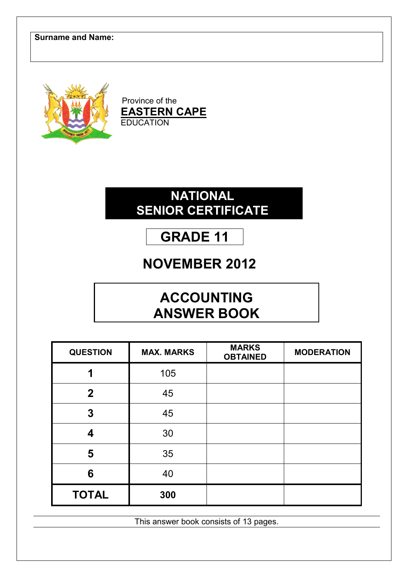

Province of the **EASTERN CAPE EDUCATION** 

## **NATIONAL SENIOR CERTIFICATE**

# **GRADE 11**

# **NOVEMBER 2012**

# **ACCOUNTING ANSWER BOOK**

| <b>QUESTION</b> | <b>MAX. MARKS</b> | <b>MARKS</b><br><b>OBTAINED</b> | <b>MODERATION</b> |
|-----------------|-------------------|---------------------------------|-------------------|
| 1               | 105               |                                 |                   |
| $\overline{2}$  | 45                |                                 |                   |
| 3               | 45                |                                 |                   |
| 4               | 30                |                                 |                   |
| 5               | 35                |                                 |                   |
| 6               | 40                |                                 |                   |
| <b>TOTAL</b>    | 300               |                                 |                   |

This answer book consists of 13 pages.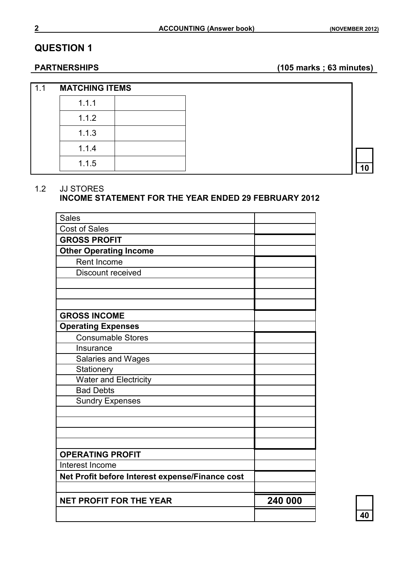**PARTNERSHIPS (105 marks ; 63 minutes)**

| 1.1 | <b>MATCHING ITEMS</b> |  |
|-----|-----------------------|--|
|     | 1.1.1                 |  |
|     | 1.1.2                 |  |
|     | 1.1.3                 |  |
|     | 1.1.4                 |  |
|     | 1.1.5                 |  |

#### 1.2 JJ STORES

#### **INCOME STATEMENT FOR THE YEAR ENDED 29 FEBRUARY 2012**

| <b>Sales</b>                                    |         |
|-------------------------------------------------|---------|
| <b>Cost of Sales</b>                            |         |
| <b>GROSS PROFIT</b>                             |         |
| <b>Other Operating Income</b>                   |         |
| Rent Income                                     |         |
| Discount received                               |         |
|                                                 |         |
|                                                 |         |
|                                                 |         |
| <b>GROSS INCOME</b>                             |         |
| <b>Operating Expenses</b>                       |         |
| <b>Consumable Stores</b>                        |         |
| Insurance                                       |         |
| Salaries and Wages                              |         |
| Stationery                                      |         |
| Water and Electricity                           |         |
| <b>Bad Debts</b>                                |         |
| <b>Sundry Expenses</b>                          |         |
|                                                 |         |
|                                                 |         |
|                                                 |         |
|                                                 |         |
| <b>OPERATING PROFIT</b>                         |         |
| Interest Income                                 |         |
| Net Profit before Interest expense/Finance cost |         |
|                                                 |         |
| <b>NET PROFIT FOR THE YEAR</b>                  | 240 000 |
|                                                 |         |
|                                                 |         |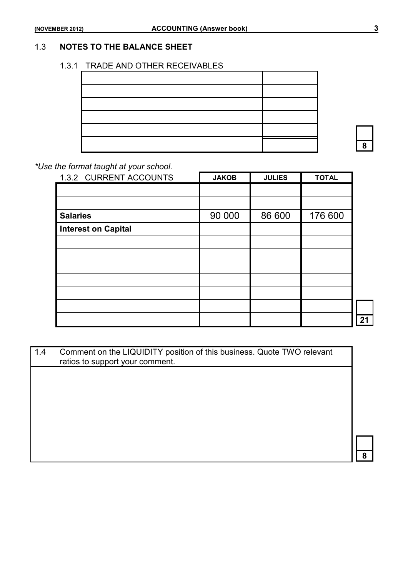#### 1.3 **NOTES TO THE BALANCE SHEET**

#### 1.3.1 TRADE AND OTHER RECEIVABLES

#### *\*Use the format taught at your school.*

| 1.3.2 CURRENT ACCOUNTS     | <b>JAKOB</b> | <b>JULIES</b> | <b>TOTAL</b> |    |
|----------------------------|--------------|---------------|--------------|----|
|                            |              |               |              |    |
|                            |              |               |              |    |
| <b>Salaries</b>            | 90 000       | 86 600        | 176 600      |    |
| <b>Interest on Capital</b> |              |               |              |    |
|                            |              |               |              |    |
|                            |              |               |              |    |
|                            |              |               |              |    |
|                            |              |               |              |    |
|                            |              |               |              |    |
|                            |              |               |              |    |
|                            |              |               |              | 21 |

| 1.4 | Comment on the LIQUIDITY position of this business. Quote TWO relevant<br>ratios to support your comment. |    |
|-----|-----------------------------------------------------------------------------------------------------------|----|
|     |                                                                                                           |    |
|     |                                                                                                           |    |
|     |                                                                                                           |    |
|     |                                                                                                           |    |
|     |                                                                                                           |    |
|     |                                                                                                           |    |
|     |                                                                                                           |    |
|     |                                                                                                           |    |
|     |                                                                                                           |    |
|     |                                                                                                           | R. |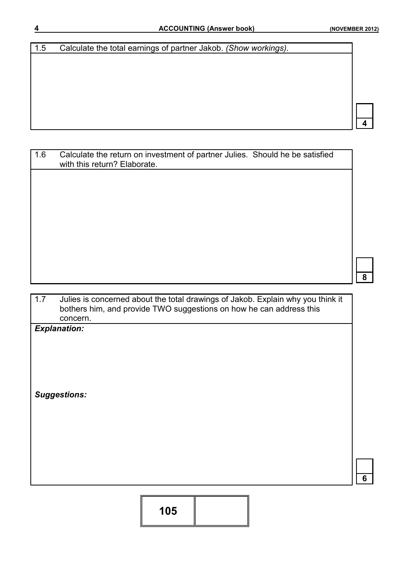**4**

**6**

| 1.5 | Calculate the total earnings of partner Jakob. (Show workings). |
|-----|-----------------------------------------------------------------|
|     |                                                                 |
|     |                                                                 |
|     |                                                                 |
|     |                                                                 |
|     |                                                                 |
|     |                                                                 |
|     |                                                                 |
|     |                                                                 |

| 1.6 | Calculate the return on investment of partner Julies. Should he be satisfied<br>with this return? Elaborate. |   |
|-----|--------------------------------------------------------------------------------------------------------------|---|
|     |                                                                                                              |   |
|     |                                                                                                              |   |
|     |                                                                                                              |   |
|     |                                                                                                              |   |
|     |                                                                                                              |   |
|     |                                                                                                              | 8 |

| 1.7 | Julies is concerned about the total drawings of Jakob. Explain why you think it |
|-----|---------------------------------------------------------------------------------|
|     | bothers him, and provide TWO suggestions on how he can address this             |
|     | concern.                                                                        |

*Explanation:*

*Suggestions:*

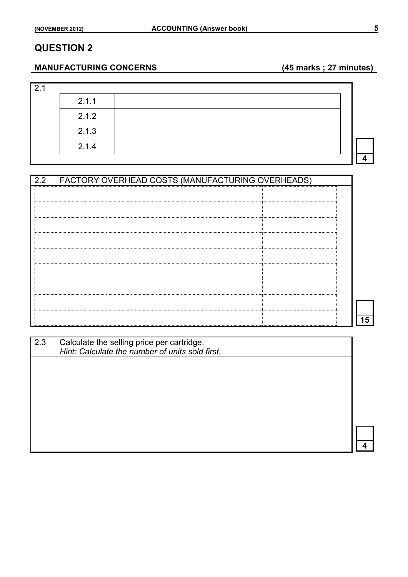#### **MANUFACTURING CONCERNS (45 marks ; 27 minutes)**

| 2.1 |       |  |  |
|-----|-------|--|--|
|     | 2.1.1 |  |  |
|     | 2.1.2 |  |  |
|     | 2.1.3 |  |  |
|     | 2.1.4 |  |  |
|     |       |  |  |

| 22 | FACTORY OVERHEAD COSTS (MANUFACTURING OVERHEADS) |  |
|----|--------------------------------------------------|--|
|    |                                                  |  |
|    |                                                  |  |
|    |                                                  |  |
|    |                                                  |  |
|    |                                                  |  |
|    |                                                  |  |
|    |                                                  |  |
|    |                                                  |  |
|    |                                                  |  |
|    |                                                  |  |
|    |                                                  |  |

| 2.3 | Calculate the selling price per cartridge.<br>Hint: Calculate the number of units sold first. |  |
|-----|-----------------------------------------------------------------------------------------------|--|
|     |                                                                                               |  |
|     |                                                                                               |  |
|     |                                                                                               |  |
|     |                                                                                               |  |
|     |                                                                                               |  |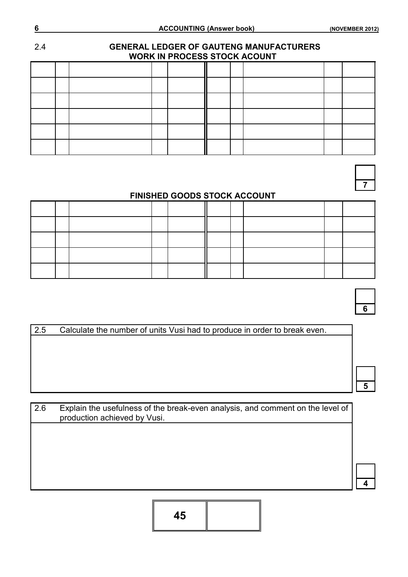# 2.4 **GENERAL LEDGER OF GAUTENG MANUFACTURERS WORK IN PROCESS STOCK ACOUNT**

**7**

#### **FINISHED GOODS STOCK ACCOUNT**

**6**

2.5 Calculate the number of units Vusi had to produce in order to break even.

**5**

**4**

| 2.6 | Explain the usefulness of the break-even analysis, and comment on the level of<br>production achieved by Vusi. |  |
|-----|----------------------------------------------------------------------------------------------------------------|--|
|     |                                                                                                                |  |
|     |                                                                                                                |  |
|     |                                                                                                                |  |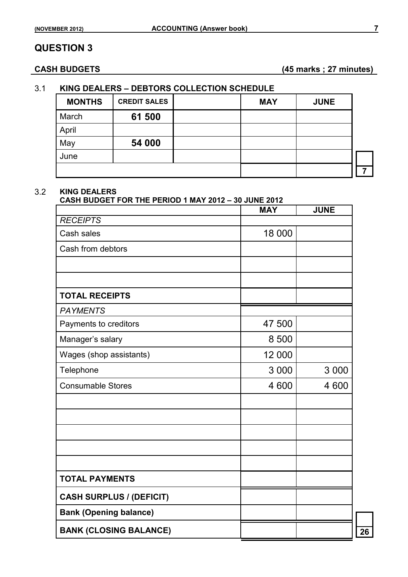**CASH BUDGETS (45 marks ; 27 minutes)**

#### 3.1 **KING DEALERS – DEBTORS COLLECTION SCHEDULE**

| <b>MONTHS</b> | <b>CREDIT SALES</b> | <b>MAY</b> | <b>JUNE</b> |  |
|---------------|---------------------|------------|-------------|--|
| March         | 61 500              |            |             |  |
| April         |                     |            |             |  |
| May           | 54 000              |            |             |  |
| June          |                     |            |             |  |
|               |                     |            |             |  |

#### 3.2 **KING DEALERS**

#### **CASH BUDGET FOR THE PERIOD 1 MAY 2012 – 30 JUNE 2012**

|                                 | <b>MAY</b> | <b>JUNE</b> |
|---------------------------------|------------|-------------|
| <b>RECEIPTS</b>                 |            |             |
| Cash sales                      | 18 000     |             |
| Cash from debtors               |            |             |
|                                 |            |             |
|                                 |            |             |
| <b>TOTAL RECEIPTS</b>           |            |             |
| <b>PAYMENTS</b>                 |            |             |
| Payments to creditors           | 47 500     |             |
| Manager's salary                | 8 500      |             |
| Wages (shop assistants)         | 12 000     |             |
| Telephone                       | 3 0 0 0    | 3 0 0 0     |
| <b>Consumable Stores</b>        | 4 600      | 4 600       |
|                                 |            |             |
|                                 |            |             |
|                                 |            |             |
|                                 |            |             |
|                                 |            |             |
| <b>TOTAL PAYMENTS</b>           |            |             |
| <b>CASH SURPLUS / (DEFICIT)</b> |            |             |
| <b>Bank (Opening balance)</b>   |            |             |
| <b>BANK (CLOSING BALANCE)</b>   |            |             |
|                                 |            |             |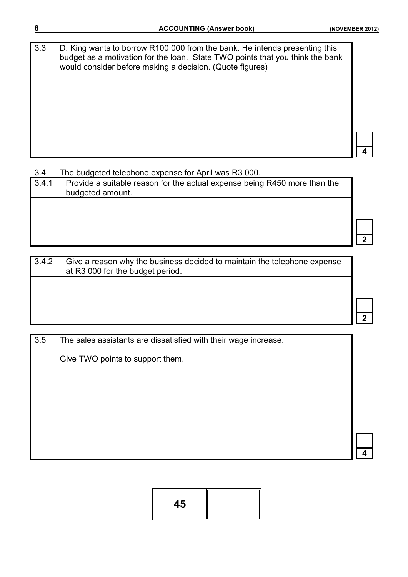**4**

**2**

**2**

**4**

3.3 D. King wants to borrow R100 000 from the bank. He intends presenting this budget as a motivation for the loan. State TWO points that you think the bank would consider before making a decision. (Quote figures)

3.4 The budgeted telephone expense for April was R3 000.

| 3.4.1 | Provide a suitable reason for the actual expense being R450 more than the<br>budgeted amount. |
|-------|-----------------------------------------------------------------------------------------------|
|       |                                                                                               |

3.4.2 Give a reason why the business decided to maintain the telephone expense at R3 000 for the budget period.

3.5 The sales assistants are dissatisfied with their wage increase.

Give TWO points to support them.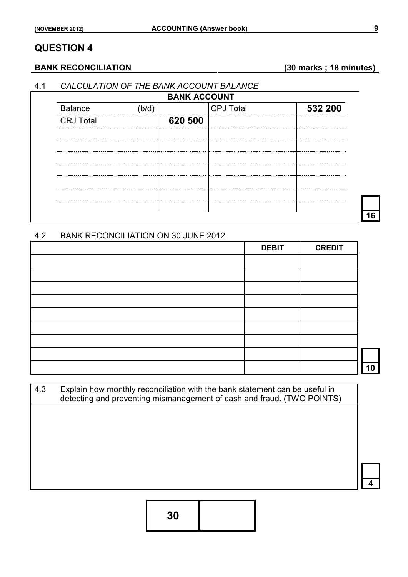#### **BANK RECONCILIATION (30 marks ; 18 minutes)**

#### 4.1 *CALCULATION OF THE BANK ACCOUNT BALANCE*

| <b>Balance</b>   | (b/d) |         | <b>CPJ Total</b> | 532 200 |
|------------------|-------|---------|------------------|---------|
| <b>CRJ Total</b> |       | 620 500 |                  |         |
|                  |       |         |                  |         |
|                  |       |         |                  |         |
|                  |       |         |                  |         |
|                  |       |         |                  |         |
|                  |       |         |                  |         |

#### 4.2 BANK RECONCILIATION ON 30 JUNE 2012

| <b>DEBIT</b> | <b>CREDIT</b> |    |
|--------------|---------------|----|
|              |               |    |
|              |               |    |
|              |               |    |
|              |               |    |
|              |               |    |
|              |               |    |
|              |               |    |
|              |               |    |
|              |               | 10 |

4.3 Explain how monthly reconciliation with the bank statement can be useful in detecting and preventing mismanagement of cash and fraud. (TWO POINTS)

**4**

**30**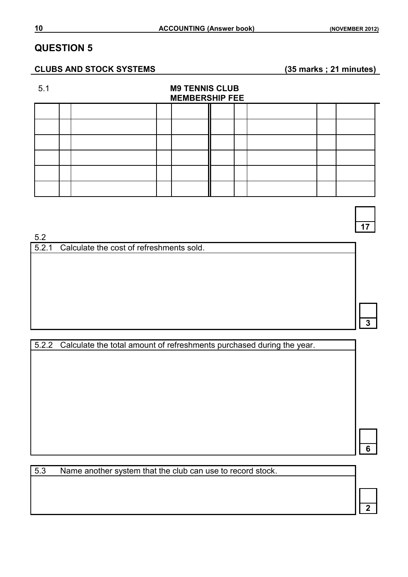#### **CLUBS AND STOCK SYSTEMS (35 marks ; 21 minutes)**

#### 5.1 **M9 TENNIS CLUB MEMBERSHIP FEE**

5.2

5.2.1 Calculate the cost of refreshments sold.

**3**

**17**

5.2.2 Calculate the total amount of refreshments purchased during the year.

**6**

**2**

5.3 Name another system that the club can use to record stock.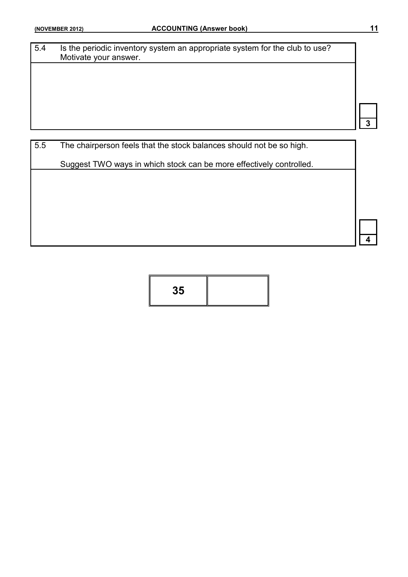| 5.4 | Is the periodic inventory system an appropriate system for the club to use?<br>Motivate your answer. |  |
|-----|------------------------------------------------------------------------------------------------------|--|
|     |                                                                                                      |  |
|     |                                                                                                      |  |
|     |                                                                                                      |  |
|     |                                                                                                      |  |
|     |                                                                                                      |  |
| 5.5 | The chairperson feels that the stock balances should not be so high.                                 |  |
|     | Suggest TWO ways in which stock can be more effectively controlled.                                  |  |

**35**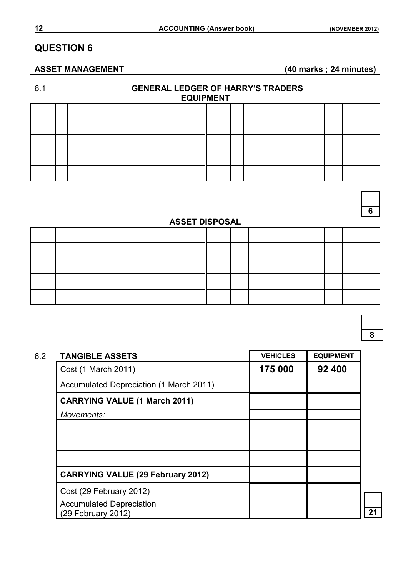#### **ASSET MANAGEMENT (40 marks ; 24 minutes)**

## 6.1 **GENERAL LEDGER OF HARRY'S TRADERS**

| <b>EQUIPMENT</b> |  |  |  |  |  |  |  |  |
|------------------|--|--|--|--|--|--|--|--|
|                  |  |  |  |  |  |  |  |  |
|                  |  |  |  |  |  |  |  |  |
|                  |  |  |  |  |  |  |  |  |
|                  |  |  |  |  |  |  |  |  |
|                  |  |  |  |  |  |  |  |  |

# **6**

#### **ASSET DISPOSAL**

**8**

| <b>TANGIBLE ASSETS</b>                                | <b>VEHICLES</b> | <b>EQUIPMENT</b> |
|-------------------------------------------------------|-----------------|------------------|
| Cost (1 March 2011)                                   | 175 000         | 92 400           |
| Accumulated Depreciation (1 March 2011)               |                 |                  |
| <b>CARRYING VALUE (1 March 2011)</b>                  |                 |                  |
| Movements:                                            |                 |                  |
|                                                       |                 |                  |
|                                                       |                 |                  |
|                                                       |                 |                  |
| <b>CARRYING VALUE (29 February 2012)</b>              |                 |                  |
| Cost (29 February 2012)                               |                 |                  |
| <b>Accumulated Depreciation</b><br>(29 February 2012) |                 |                  |